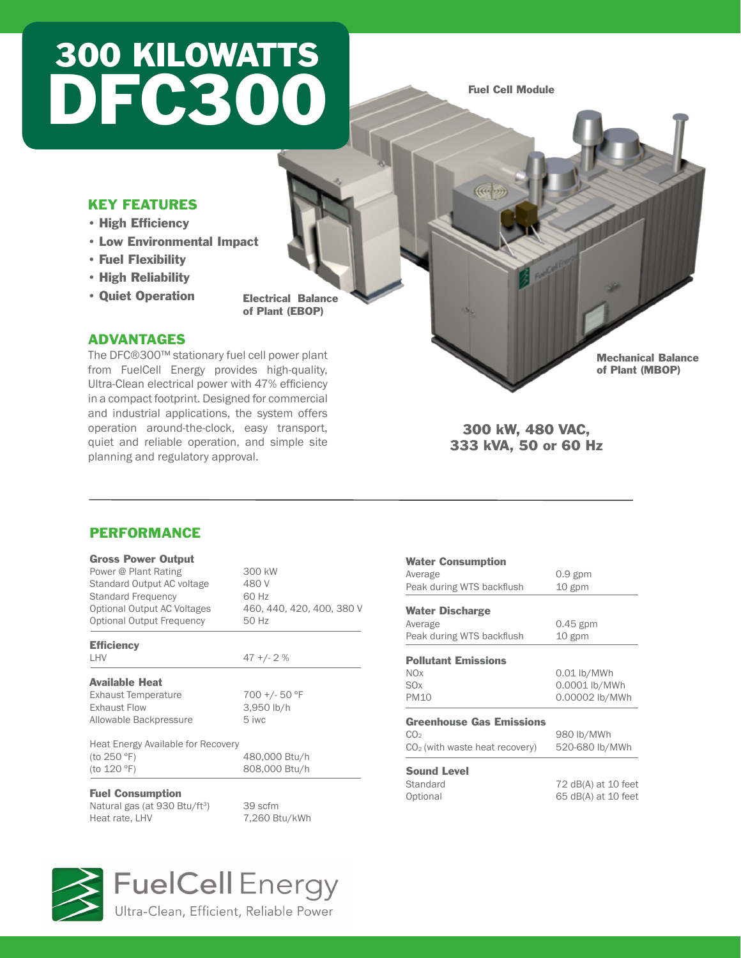# 300 KILOWATTS DFC300

Fuel Cell Module

**COCO** 

### KEY FEATURES

- • High Efficiency
- • Low Environmental Impact
- • Fuel Flexibility
- • High Reliability
- • Quiet Operation

Electrical Balance of Plant (EBOP)

### ADVANTAGES

PERFORMANCE

Gross Power Output

**Efficiency** 

Available Heat

Allowable Backpressure

Fuel Consumption

Heat Energy Available for Recovery<br>(to 250 °F)

Power @ Plant Rating 300 kW Standard Output AC voltage 480 V Standard Frequency 60 Hz

Optional Output Frequency 50 Hz

LHV  $47 + (-2)$ 

Exhaust Temperature 700 +/- 50 °F Exhaust Flow 3,950 lb/h<br>Allowable Backpressure 5 iwc

(to 120 ºF) 808,000 Btu/h

Natural gas (at 930 Btu/ft<sup>3</sup>) 39 scfm<br>Heat rate, LHV 7,260 Bt

Optional Output AC Voltages 460, 440, 420, 400, 380 V

The DFC®300™ stationary fuel cell power plant from FuelCell Energy provides high-quality, Ultra-Clean electrical power with 47% efficiency in a compact footprint. Designed for commercial and industrial applications, the system offers operation around-the-clock, easy transport, quiet and reliable operation, and simple site planning and regulatory approval.

### Average 0.9 gpm Peak during WTS backflush 10 gpm Water Discharge Average 0.45 gpm Peak during WTS backflush 10 gpm

Water Consumption

| <b>Pollutant Emissions</b> |                |  |  |
|----------------------------|----------------|--|--|
| <b>NOx</b>                 | $0.01$ lb/MWh  |  |  |
| SOx                        | 0.0001 lb/MWh  |  |  |
| <b>PM10</b>                | 0.00002 lb/MWh |  |  |

300 kW, 480 VAC, 333 kVA, 50 or 60 Hz

#### Greenhouse Gas Emissions

| 980 lb/MWh<br>520-680 lb/MWh |
|------------------------------|
|                              |

Standard 72 dB(A) at 10 feet Optional 65 dB(A) at 10 feet

Mechanical Balance of Plant (MBOP)



## **FuelCell** Energy

480,000 Btu/h

7,260 Btu/kWh

Ultra-Clean, Efficient, Reliable Power